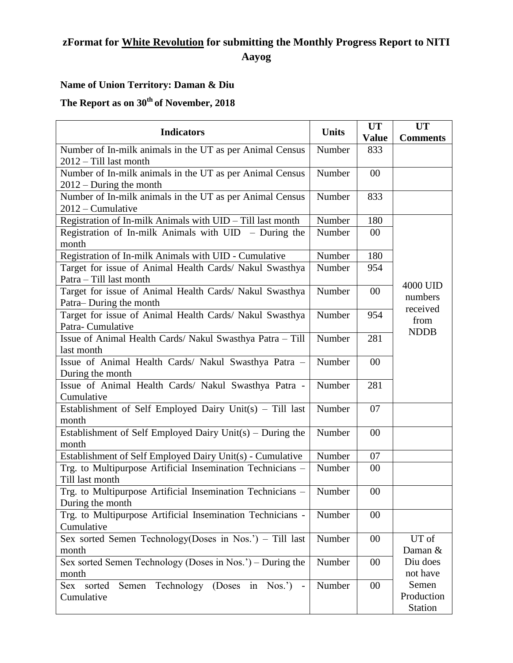## **zFormat for White Revolution for submitting the Monthly Progress Report to NITI Aayog**

## **Name of Union Territory: Daman & Diu**

## **The Report as on 30 th of November, 2018**

| <b>Indicators</b>                                                                     | <b>Units</b> | <b>UT</b><br><b>Value</b> | <b>UT</b><br><b>Comments</b>          |  |  |  |
|---------------------------------------------------------------------------------------|--------------|---------------------------|---------------------------------------|--|--|--|
| Number of In-milk animals in the UT as per Animal Census                              | Number       | 833                       |                                       |  |  |  |
| 2012 - Till last month                                                                |              |                           |                                       |  |  |  |
| Number of In-milk animals in the UT as per Animal Census<br>$2012 - During the month$ | Number       | 00                        |                                       |  |  |  |
| Number of In-milk animals in the UT as per Animal Census<br>$2012$ – Cumulative       | Number       | 833                       |                                       |  |  |  |
| Registration of In-milk Animals with UID - Till last month                            | Number       | 180                       |                                       |  |  |  |
| Registration of In-milk Animals with $UID$ – During the<br>month                      |              |                           |                                       |  |  |  |
| Registration of In-milk Animals with UID - Cumulative                                 | Number       | 180                       |                                       |  |  |  |
| Target for issue of Animal Health Cards/ Nakul Swasthya<br>Patra - Till last month    | Number       | 954                       |                                       |  |  |  |
| Target for issue of Animal Health Cards/ Nakul Swasthya<br>Patra-During the month     | 00           | 4000 UID<br>numbers       |                                       |  |  |  |
| Target for issue of Animal Health Cards/ Nakul Swasthya<br>Patra-Cumulative           | Number       | 954                       | received<br>from<br><b>NDDB</b>       |  |  |  |
| Issue of Animal Health Cards/ Nakul Swasthya Patra - Till<br>last month               | Number       | 281                       |                                       |  |  |  |
| Issue of Animal Health Cards/ Nakul Swasthya Patra -<br>During the month              | Number       | 00                        |                                       |  |  |  |
| Issue of Animal Health Cards/ Nakul Swasthya Patra -<br>Cumulative                    | Number       | 281                       |                                       |  |  |  |
| Establishment of Self Employed Dairy Unit(s) - Till last<br>month                     | Number       | 07                        |                                       |  |  |  |
| Establishment of Self Employed Dairy Unit(s) – During the<br>month                    | Number       | 00                        |                                       |  |  |  |
| Establishment of Self Employed Dairy Unit(s) - Cumulative                             | Number       | 07                        |                                       |  |  |  |
| Trg. to Multipurpose Artificial Insemination Technicians -<br>Till last month         | Number       | 00                        |                                       |  |  |  |
| Trg. to Multipurpose Artificial Insemination Technicians -<br>During the month        | Number       | 00                        |                                       |  |  |  |
| Trg. to Multipurpose Artificial Insemination Technicians -<br>Cumulative              | Number       | 00                        |                                       |  |  |  |
| Sex sorted Semen Technology(Doses in Nos.') - Till last<br>month                      | Number       | 00                        | UT of<br>Daman &                      |  |  |  |
| Sex sorted Semen Technology (Doses $\overline{in Nos."}$ ) – During the<br>month      | Number       | 00                        | Diu does<br>not have                  |  |  |  |
| Sex sorted Semen Technology (Doses in Nos.') -<br>Cumulative                          | Number       | 00                        | Semen<br>Production<br><b>Station</b> |  |  |  |